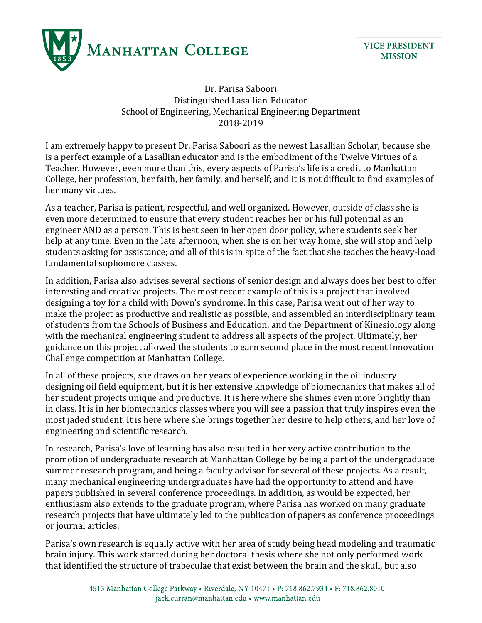

Dr. Parisa Saboori Distinguished Lasallian-Educator School of Engineering, Mechanical Engineering Department 2018-2019

I am extremely happy to present Dr. Parisa Saboori as the newest Lasallian Scholar, because she is a perfect example of a Lasallian educator and is the embodiment of the Twelve Virtues of a Teacher. However, even more than this, every aspects of Parisa's life is a credit to Manhattan College, her profession, her faith, her family, and herself; and it is not difficult to find examples of her many virtues.

As a teacher, Parisa is patient, respectful, and well organized. However, outside of class she is even more determined to ensure that every student reaches her or his full potential as an engineer AND as a person. This is best seen in her open door policy, where students seek her help at any time. Even in the late afternoon, when she is on her way home, she will stop and help students asking for assistance; and all of this is in spite of the fact that she teaches the heavy-load fundamental sophomore classes.

In addition, Parisa also advises several sections of senior design and always does her best to offer interesting and creative projects. The most recent example of this is a project that involved designing a toy for a child with Down's syndrome. In this case, Parisa went out of her way to make the project as productive and realistic as possible, and assembled an interdisciplinary team of students from the Schools of Business and Education, and the Department of Kinesiology along with the mechanical engineering student to address all aspects of the project. Ultimately, her guidance on this project allowed the students to earn second place in the most recent Innovation Challenge competition at Manhattan College.

In all of these projects, she draws on her years of experience working in the oil industry designing oil field equipment, but it is her extensive knowledge of biomechanics that makes all of her student projects unique and productive. It is here where she shines even more brightly than in class. It is in her biomechanics classes where you will see a passion that truly inspires even the most jaded student. It is here where she brings together her desire to help others, and her love of engineering and scientific research.

In research, Parisa's love of learning has also resulted in her very active contribution to the promotion of undergraduate research at Manhattan College by being a part of the undergraduate summer research program, and being a faculty advisor for several of these projects. As a result, many mechanical engineering undergraduates have had the opportunity to attend and have papers published in several conference proceedings. In addition, as would be expected, her enthusiasm also extends to the graduate program, where Parisa has worked on many graduate research projects that have ultimately led to the publication of papers as conference proceedings or journal articles.

Parisa's own research is equally active with her area of study being head modeling and traumatic brain injury. This work started during her doctoral thesis where she not only performed work that identified the structure of trabeculae that exist between the brain and the skull, but also